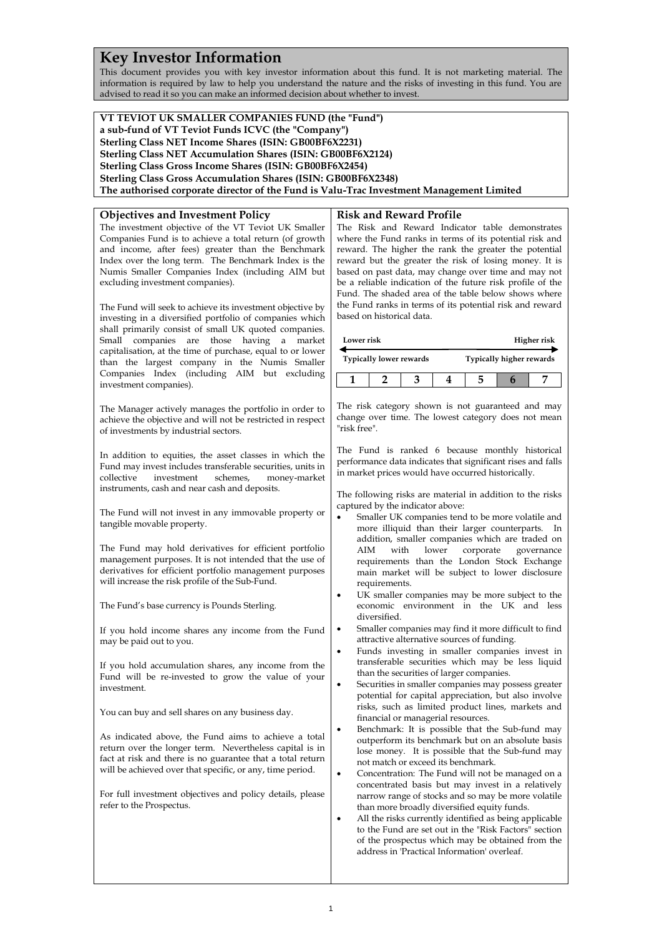# **Key Investor Information**

This document provides you with key investor information about this fund. It is not marketing material. The information is required by law to help you understand the nature and the risks of investing in this fund. You are advised to read it so you can make an informed decision about whether to invest.

**VT TEVIOT UK SMALLER COMPANIES FUND (the "Fund") a sub-fund of VT Teviot Funds ICVC (the "Company") Sterling Class NET Income Shares (ISIN: GB00BF6X2231) Sterling Class NET Accumulation Shares (ISIN: GB00BF6X2124) Sterling Class Gross Income Shares (ISIN: GB00BF6X2454) Sterling Class Gross Accumulation Shares (ISIN: GB00BF6X2348) The authorised corporate director of the Fund is Valu-Trac Investment Management Limited**

## **Objectives and Investment Policy**

The investment objective of the VT Teviot UK Smaller Companies Fund is to achieve a total return (of growth and income, after fees) greater than the Benchmark Index over the long term. The Benchmark Index is the Numis Smaller Companies Index (including AIM but excluding investment companies).

The Fund will seek to achieve its investment objective by investing in a diversified portfolio of companies which shall primarily consist of small UK quoted companies. Small companies are those having a market capitalisation, at the time of purchase, equal to or lower than the largest company in the Numis Smaller Companies Index (including AIM but excluding investment companies).

The Manager actively manages the portfolio in order to achieve the objective and will not be restricted in respect of investments by industrial sectors.

In addition to equities, the asset classes in which the Fund may invest includes transferable securities, units in collective investment schemes, money-market instruments, cash and near cash and deposits.

The Fund will not invest in any immovable property or tangible movable property.

The Fund may hold derivatives for efficient portfolio management purposes. It is not intended that the use of derivatives for efficient portfolio management purposes will increase the risk profile of the Sub-Fund.

The Fund's base currency is Pounds Sterling.

If you hold income shares any income from the Fund may be paid out to you.

If you hold accumulation shares, any income from the Fund will be re-invested to grow the value of your investment.

You can buy and sell shares on any business day.

As indicated above, the Fund aims to achieve a total return over the longer term. Nevertheless capital is in fact at risk and there is no guarantee that a total return will be achieved over that specific, or any, time period.

For full investment objectives and policy details, please refer to the Prospectus.

## **Risk and Reward Profile**

The Risk and Reward Indicator table demonstrates where the Fund ranks in terms of its potential risk and reward. The higher the rank the greater the potential reward but the greater the risk of losing money. It is based on past data, may change over time and may not be a reliable indication of the future risk profile of the Fund. The shaded area of the table below shows where the Fund ranks in terms of its potential risk and reward based on historical data.

| <b>Lower risk</b>       |  |  |  | Higher risk              |  |  |
|-------------------------|--|--|--|--------------------------|--|--|
| Typically lower rewards |  |  |  | Typically higher rewards |  |  |
|                         |  |  |  |                          |  |  |

The risk category shown is not guaranteed and may change over time. The lowest category does not mean "risk free".

The Fund is ranked 6 because monthly historical performance data indicates that significant rises and falls in market prices would have occurred historically.

The following risks are material in addition to the risks captured by the indicator above:

- Smaller UK companies tend to be more volatile and more illiquid than their larger counterparts. In addition, smaller companies which are traded on<br>AIM with lower corporate governance lower corporate governance requirements than the London Stock Exchange main market will be subject to lower disclosure requirements.
- UK smaller companies may be more subject to the economic environment in the UK and less diversified.
- Smaller companies may find it more difficult to find attractive alternative sources of funding.
- Funds investing in smaller companies invest in transferable securities which may be less liquid than the securities of larger companies.
- Securities in smaller companies may possess greater potential for capital appreciation, but also involve risks, such as limited product lines, markets and financial or managerial resources.
- Benchmark: It is possible that the Sub-fund may outperform its benchmark but on an absolute basis lose money. It is possible that the Sub-fund may not match or exceed its benchmark.
- Concentration: The Fund will not be managed on a concentrated basis but may invest in a relatively narrow range of stocks and so may be more volatile than more broadly diversified equity funds.
- All the risks currently identified as being applicable to the Fund are set out in the "Risk Factors" section of the prospectus which may be obtained from the address in 'Practical Information' overleaf.